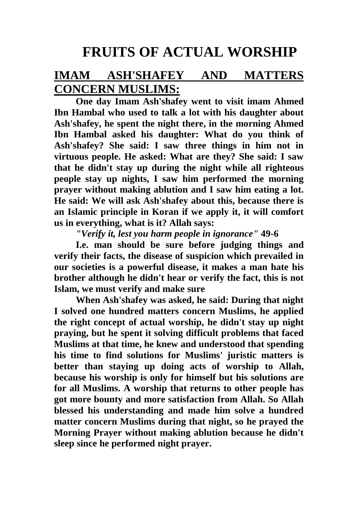## **FRUITS OF ACTUAL WORSHIP**

## **IMAM ASH'SHAFEY AND MATTERS CONCERN MUSLIMS:**

**One day Imam Ash'shafey went to visit imam Ahmed Ibn Hambal who used to talk a lot with his daughter about Ash'shafey, he spent the night there, in the morning Ahmed Ibn Hambal asked his daughter: What do you think of Ash'shafey? She said: I saw three things in him not in virtuous people. He asked: What are they? She said: I saw that he didn't stay up during the night while all righteous people stay up nights, I saw him performed the morning prayer without making ablution and I saw him eating a lot. He said: We will ask Ash'shafey about this, because there is an Islamic principle in Koran if we apply it, it will comfort us in everything, what is it? Allah says:**

*"Verify it, lest you harm people in ignorance"* **49-6**

**I.e. man should be sure before judging things and verify their facts, the disease of suspicion which prevailed in our societies is a powerful disease, it makes a man hate his brother although he didn't hear or verify the fact, this is not Islam, we must verify and make sure**

**When Ash'shafey was asked, he said: During that night I solved one hundred matters concern Muslims, he applied the right concept of actual worship, he didn't stay up night praying, but he spent it solving difficult problems that faced Muslims at that time, he knew and understood that spending his time to find solutions for Muslims' juristic matters is better than staying up doing acts of worship to Allah, because his worship is only for himself but his solutions are for all Muslims. A worship that returns to other people has got more bounty and more satisfaction from Allah. So Allah blessed his understanding and made him solve a hundred matter concern Muslims during that night, so he prayed the Morning Prayer without making ablution because he didn't sleep since he performed night prayer.**